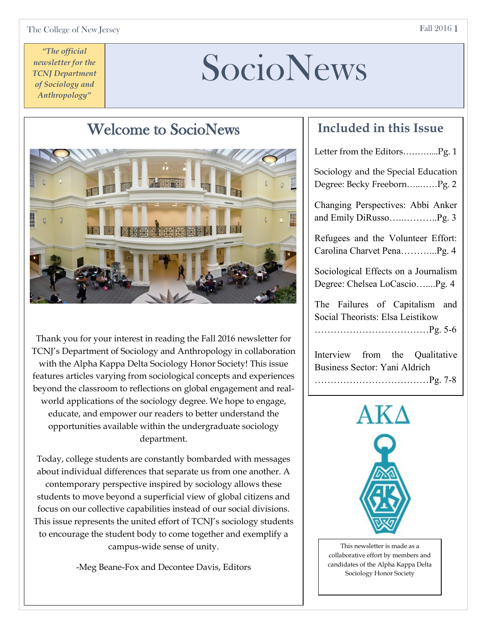# SocioNews

# Welcome to SocioNews

Thank you for your interest in reading the Fall 2016 newsletter for TCNJ's Department of Sociology and Anthropology in collaboration with the Alpha Kappa Delta Sociology Honor Society! This issue features articles varying from sociological concepts and experiences beyond the classroom to reflections on global engagement and realworld applications of the sociology degree. We hope to engage, educate, and empower our readers to better understand the opportunities available within the undergraduate sociology department.

Today, college students are constantly bombarded with messages about individual differences that separate us from one another. A contemporary perspective inspired by sociology allows these students to move beyond a superficial view of global citizens and focus on our collective capabilities instead of our social divisions. This issue represents the united effort of TCNJ's sociology students to encourage the student body to come together and exemplify a campus-wide sense of unity.

-Meg Beane-Fox and Decontee Davis, Editors

### **Included in this Issue**

| Letter from the EditorsPg. 1                                               |
|----------------------------------------------------------------------------|
| Sociology and the Special Education<br>Degree: Becky FreebornPg. 2         |
| Changing Perspectives: Abbi Anker                                          |
| Refugees and the Volunteer Effort:<br>Carolina Charvet PenaPg. 4           |
| Sociological Effects on a Journalism<br>Degree: Chelsea LoCascioPg. 4      |
| The Failures of Capitalism and<br>Social Theorists: Elsa Leistikow         |
| Interview from the Qualitative<br>Business Sector: Yani Aldrich<br>Pg. 7-8 |



This newsletter is made as a collaborative effort by members and candidates of the Alpha Kappa Delta Sociology Honor Society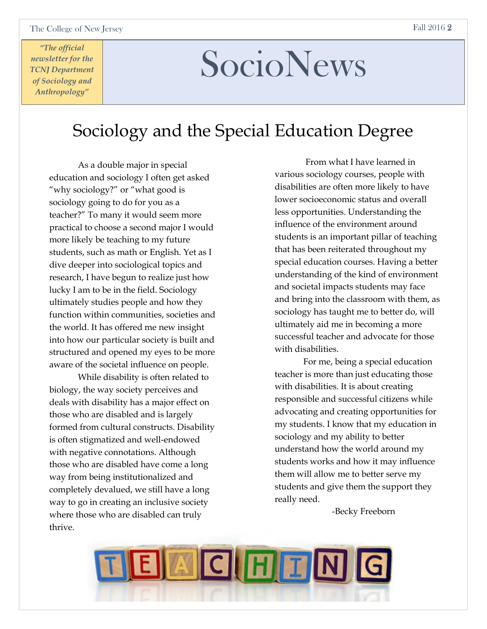# SocioNews

## Sociology and the Special Education Degree

As a double major in special education and sociology I often get asked "why sociology?" or "what good is sociology going to do for you as a teacher?" To many it would seem more practical to choose a second major I would more likely be teaching to my future students, such as math or English. Yet as I dive deeper into sociological topics and research, I have begun to realize just how lucky I am to be in the field. Sociology ultimately studies people and how they function within communities, societies and the world. It has offered me new insight into how our particular society is built and structured and opened my eyes to be more aware of the societal influence on people.

While disability is often related to biology, the way society perceives and deals with disability has a major effect on those who are disabled and is largely formed from cultural constructs. Disability is often stigmatized and well-endowed with negative connotations. Although those who are disabled have come a long way from being institutionalized and completely devalued, we still have a long way to go in creating an inclusive society where those who are disabled can truly thrive.

From what I have learned in various sociology courses, people with disabilities are often more likely to have lower socioeconomic status and overall less opportunities. Understanding the influence of the environment around students is an important pillar of teaching that has been reiterated throughout my special education courses. Having a better understanding of the kind of environment and societal impacts students may face and bring into the classroom with them, as sociology has taught me to better do, will ultimately aid me in becoming a more successful teacher and advocate for those with disabilities.

For me, being a special education teacher is more than just educating those with disabilities. It is about creating responsible and successful citizens while advocating and creating opportunities for my students. I know that my education in sociology and my ability to better understand how the world around my students works and how it may influence them will allow me to better serve my students and give them the support they really need.

-Becky Freeborn

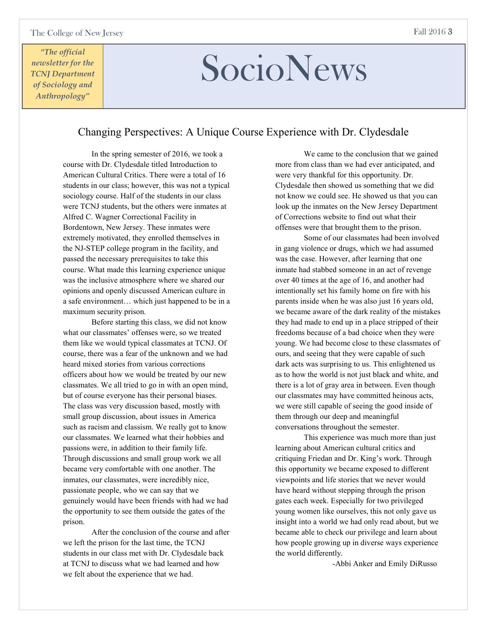# SocioNews

### Changing Perspectives: A Unique Course Experience with Dr. Clydesdale

In the spring semester of 2016, we took a course with Dr. Clydesdale titled Introduction to American Cultural Critics. There were a total of 16 students in our class; however, this was not a typical sociology course. Half of the students in our class were TCNJ students, but the others were inmates at Alfred C. Wagner Correctional Facility in Bordentown, New Jersey. These inmates were extremely motivated, they enrolled themselves in the NJ-STEP college program in the facility, and passed the necessary prerequisites to take this course. What made this learning experience unique was the inclusive atmosphere where we shared our opinions and openly discussed American culture in a safe environment… which just happened to be in a maximum security prison.

Before starting this class, we did not know what our classmates' offenses were, so we treated them like we would typical classmates at TCNJ. Of course, there was a fear of the unknown and we had heard mixed stories from various corrections officers about how we would be treated by our new classmates. We all tried to go in with an open mind, but of course everyone has their personal biases. The class was very discussion based, mostly with small group discussion, about issues in America such as racism and classism. We really got to know our classmates. We learned what their hobbies and passions were, in addition to their family life. Through discussions and small group work we all became very comfortable with one another. The inmates, our classmates, were incredibly nice, passionate people, who we can say that we genuinely would have been friends with had we had the opportunity to see them outside the gates of the prison.

After the conclusion of the course and after we left the prison for the last time, the TCNJ students in our class met with Dr. Clydesdale back at TCNJ to discuss what we had learned and how we felt about the experience that we had.

We came to the conclusion that we gained more from class than we had ever anticipated, and were very thankful for this opportunity. Dr. Clydesdale then showed us something that we did not know we could see. He showed us that you can look up the inmates on the New Jersey Department of Corrections website to find out what their offenses were that brought them to the prison.

Some of our classmates had been involved in gang violence or drugs, which we had assumed was the case. However, after learning that one inmate had stabbed someone in an act of revenge over 40 times at the age of 16, and another had intentionally set his family home on fire with his parents inside when he was also just 16 years old, we became aware of the dark reality of the mistakes they had made to end up in a place stripped of their freedoms because of a bad choice when they were young. We had become close to these classmates of ours, and seeing that they were capable of such dark acts was surprising to us. This enlightened us as to how the world is not just black and white, and there is a lot of gray area in between. Even though our classmates may have committed heinous acts, we were still capable of seeing the good inside of them through our deep and meaningful conversations throughout the semester.

This experience was much more than just learning about American cultural critics and critiquing Friedan and Dr. King's work. Through this opportunity we became exposed to different viewpoints and life stories that we never would have heard without stepping through the prison gates each week. Especially for two privileged young women like ourselves, this not only gave us insight into a world we had only read about, but we became able to check our privilege and learn about how people growing up in diverse ways experience the world differently.

-Abbi Anker and Emily DiRusso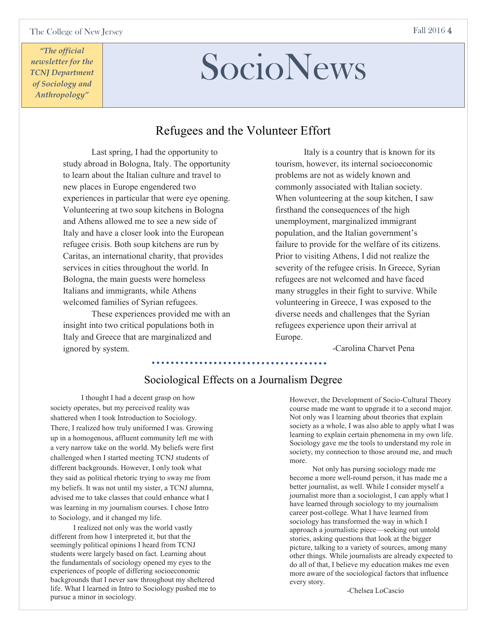# SocioNews

### Refugees and the Volunteer Effort

Last spring, I had the opportunity to study abroad in Bologna, Italy. The opportunity to learn about the Italian culture and travel to new places in Europe engendered two experiences in particular that were eye opening. Volunteering at two soup kitchens in Bologna and Athens allowed me to see a new side of Italy and have a closer look into the European refugee crisis. Both soup kitchens are run by Caritas, an international charity, that provides services in cities throughout the world. In Bologna, the main guests were homeless Italians and immigrants, while Athens welcomed families of Syrian refugees.

These experiences provided me with an insight into two critical populations both in Italy and Greece that are marginalized and ignored by system.

Italy is a country that is known for its tourism, however, its internal socioeconomic problems are not as widely known and commonly associated with Italian society. When volunteering at the soup kitchen, I saw firsthand the consequences of the high unemployment, marginalized immigrant population, and the Italian government's failure to provide for the welfare of its citizens. Prior to visiting Athens, I did not realize the severity of the refugee crisis. In Greece, Syrian refugees are not welcomed and have faced many struggles in their fight to survive. While volunteering in Greece, I was exposed to the diverse needs and challenges that the Syrian refugees experience upon their arrival at Europe.

### -Carolina Charvet Pena

### Sociological Effects on a Journalism Degree

I thought I had a decent grasp on how society operates, but my perceived reality was shattered when I took Introduction to Sociology. There, I realized how truly uniformed I was. Growing up in a homogenous, affluent community left me with a very narrow take on the world. My beliefs were first challenged when I started meeting TCNJ students of different backgrounds. However, I only took what they said as political rhetoric trying to sway me from my beliefs. It was not until my sister, a TCNJ alumna, advised me to take classes that could enhance what I was learning in my journalism courses. I chose Intro to Sociology, and it changed my life.

 I realized not only was the world vastly different from how I interpreted it, but that the seemingly political opinions I heard from TCNJ students were largely based on fact. Learning about the fundamentals of sociology opened my eyes to the experiences of people of differing socioeconomic backgrounds that I never saw throughout my sheltered life. What I learned in Intro to Sociology pushed me to pursue a minor in sociology.

However, the Development of Socio-Cultural Theory course made me want to upgrade it to a second major. Not only was I learning about theories that explain society as a whole, I was also able to apply what I was learning to explain certain phenomena in my own life. Sociology gave me the tools to understand my role in society, my connection to those around me, and much more.

 Not only has pursing sociology made me become a more well-round person, it has made me a better journalist, as well. While I consider myself a journalist more than a sociologist, I can apply what I have learned through sociology to my journalism career post-college. What I have learned from sociology has transformed the way in which I approach a journalistic piece—seeking out untold stories, asking questions that look at the bigger picture, talking to a variety of sources, among many other things. While journalists are already expected to do all of that, I believe my education makes me even more aware of the sociological factors that influence every story.

-Chelsea LoCascio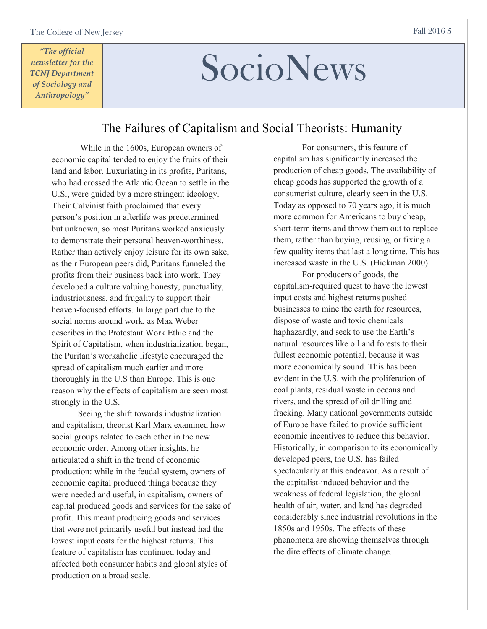# SocioNews

### The Failures of Capitalism and Social Theorists: Humanity

While in the 1600s, European owners of economic capital tended to enjoy the fruits of their land and labor. Luxuriating in its profits, Puritans, who had crossed the Atlantic Ocean to settle in the U.S., were guided by a more stringent ideology. Their Calvinist faith proclaimed that every person's position in afterlife was predetermined but unknown, so most Puritans worked anxiously to demonstrate their personal heaven-worthiness. Rather than actively enjoy leisure for its own sake, as their European peers did, Puritans funneled the profits from their business back into work. They developed a culture valuing honesty, punctuality, industriousness, and frugality to support their heaven-focused efforts. In large part due to the social norms around work, as Max Weber describes in the Protestant Work Ethic and the Spirit of Capitalism, when industrialization began, the Puritan's workaholic lifestyle encouraged the spread of capitalism much earlier and more thoroughly in the U.S than Europe. This is one reason why the effects of capitalism are seen most strongly in the U.S.

 Seeing the shift towards industrialization and capitalism, theorist Karl Marx examined how social groups related to each other in the new economic order. Among other insights, he articulated a shift in the trend of economic production: while in the feudal system, owners of economic capital produced things because they were needed and useful, in capitalism, owners of capital produced goods and services for the sake of profit. This meant producing goods and services that were not primarily useful but instead had the lowest input costs for the highest returns. This feature of capitalism has continued today and affected both consumer habits and global styles of production on a broad scale.

For consumers, this feature of capitalism has significantly increased the production of cheap goods. The availability of cheap goods has supported the growth of a consumerist culture, clearly seen in the U.S. Today as opposed to 70 years ago, it is much more common for Americans to buy cheap, short-term items and throw them out to replace them, rather than buying, reusing, or fixing a few quality items that last a long time. This has increased waste in the U.S. (Hickman 2000).

For producers of goods, the capitalism-required quest to have the lowest input costs and highest returns pushed businesses to mine the earth for resources, dispose of waste and toxic chemicals haphazardly, and seek to use the Earth's natural resources like oil and forests to their fullest economic potential, because it was more economically sound. This has been evident in the U.S. with the proliferation of coal plants, residual waste in oceans and rivers, and the spread of oil drilling and fracking. Many national governments outside of Europe have failed to provide sufficient economic incentives to reduce this behavior. Historically, in comparison to its economically developed peers, the U.S. has failed spectacularly at this endeavor. As a result of the capitalist-induced behavior and the weakness of federal legislation, the global health of air, water, and land has degraded considerably since industrial revolutions in the 1850s and 1950s. The effects of these phenomena are showing themselves through the dire effects of climate change.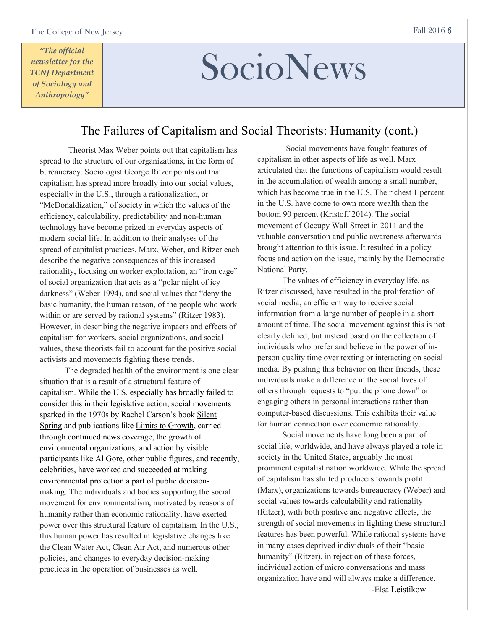# SocioNews

### The Failures of Capitalism and Social Theorists: Humanity (cont.)

Theorist Max Weber points out that capitalism has spread to the structure of our organizations, in the form of bureaucracy. Sociologist George Ritzer points out that capitalism has spread more broadly into our social values, especially in the U.S., through a rationalization, or "McDonaldization," of society in which the values of the efficiency, calculability, predictability and non-human technology have become prized in everyday aspects of modern social life. In addition to their analyses of the spread of capitalist practices, Marx, Weber, and Ritzer each describe the negative consequences of this increased rationality, focusing on worker exploitation, an "iron cage" of social organization that acts as a "polar night of icy darkness" (Weber 1994), and social values that "deny the basic humanity, the human reason, of the people who work within or are served by rational systems" (Ritzer 1983). However, in describing the negative impacts and effects of capitalism for workers, social organizations, and social values, these theorists fail to account for the positive social activists and movements fighting these trends.

 The degraded health of the environment is one clear situation that is a result of a structural feature of capitalism. While the U.S. especially has broadly failed to consider this in their legislative action, social movements sparked in the 1970s by Rachel Carson's book Silent Spring and publications like Limits to Growth, carried through continued news coverage, the growth of environmental organizations, and action by visible participants like Al Gore, other public figures, and recently, celebrities, have worked and succeeded at making environmental protection a part of public decisionmaking. The individuals and bodies supporting the social movement for environmentalism, motivated by reasons of humanity rather than economic rationality, have exerted power over this structural feature of capitalism. In the U.S., this human power has resulted in legislative changes like the Clean Water Act, Clean Air Act, and numerous other policies, and changes to everyday decision-making practices in the operation of businesses as well.

Social movements have fought features of capitalism in other aspects of life as well. Marx articulated that the functions of capitalism would result in the accumulation of wealth among a small number, which has become true in the U.S. The richest 1 percent in the U.S. have come to own more wealth than the bottom 90 percent (Kristoff 2014). The social movement of Occupy Wall Street in 2011 and the valuable conversation and public awareness afterwards brought attention to this issue. It resulted in a policy focus and action on the issue, mainly by the Democratic National Party.

 The values of efficiency in everyday life, as Ritzer discussed, have resulted in the proliferation of social media, an efficient way to receive social information from a large number of people in a short amount of time. The social movement against this is not clearly defined, but instead based on the collection of individuals who prefer and believe in the power of inperson quality time over texting or interacting on social media. By pushing this behavior on their friends, these individuals make a difference in the social lives of others through requests to "put the phone down" or engaging others in personal interactions rather than computer-based discussions. This exhibits their value for human connection over economic rationality.

 Social movements have long been a part of social life, worldwide, and have always played a role in society in the United States, arguably the most prominent capitalist nation worldwide. While the spread of capitalism has shifted producers towards profit (Marx), organizations towards bureaucracy (Weber) and social values towards calculability and rationality (Ritzer), with both positive and negative effects, the strength of social movements in fighting these structural features has been powerful. While rational systems have in many cases deprived individuals of their "basic humanity" (Ritzer), in rejection of these forces, individual action of micro conversations and mass organization have and will always make a difference. -Elsa Leistikow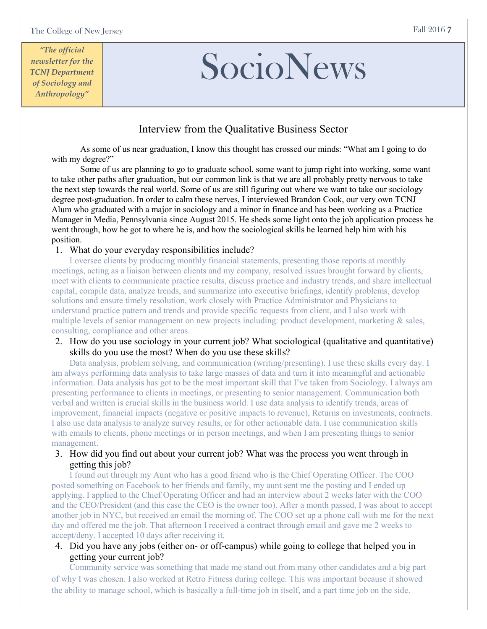# SocioNews

### Interview from the Qualitative Business Sector

As some of us near graduation, I know this thought has crossed our minds: "What am I going to do with my degree?"

Some of us are planning to go to graduate school, some want to jump right into working, some want to take other paths after graduation, but our common link is that we are all probably pretty nervous to take the next step towards the real world. Some of us are still figuring out where we want to take our sociology degree post-graduation. In order to calm these nerves, I interviewed Brandon Cook, our very own TCNJ Alum who graduated with a major in sociology and a minor in finance and has been working as a Practice Manager in Media, Pennsylvania since August 2015. He sheds some light onto the job application process he went through, how he got to where he is, and how the sociological skills he learned help him with his position.

### 1. What do your everyday responsibilities include?

I oversee clients by producing monthly financial statements, presenting those reports at monthly meetings, acting as a liaison between clients and my company, resolved issues brought forward by clients, meet with clients to communicate practice results, discuss practice and industry trends, and share intellectual capital, compile data, analyze trends, and summarize into executive briefings, identify problems, develop solutions and ensure timely resolution, work closely with Practice Administrator and Physicians to understand practice pattern and trends and provide specific requests from client, and I also work with multiple levels of senior management on new projects including: product development, marketing & sales, consulting, compliance and other areas.

2. How do you use sociology in your current job? What sociological (qualitative and quantitative) skills do you use the most? When do you use these skills?

Data analysis, problem solving, and communication (writing/presenting). I use these skills every day. I am always performing data analysis to take large masses of data and turn it into meaningful and actionable information. Data analysis has got to be the most important skill that I've taken from Sociology. I always am presenting performance to clients in meetings, or presenting to senior management. Communication both verbal and written is crucial skills in the business world. I use data analysis to identify trends, areas of improvement, financial impacts (negative or positive impacts to revenue), Returns on investments, contracts. I also use data analysis to analyze survey results, or for other actionable data. I use communication skills with emails to clients, phone meetings or in person meetings, and when I am presenting things to senior management.

3. How did you find out about your current job? What was the process you went through in getting this job?

I found out through my Aunt who has a good friend who is the Chief Operating Officer. The COO posted something on Facebook to her friends and family, my aunt sent me the posting and I ended up applying. I applied to the Chief Operating Officer and had an interview about 2 weeks later with the COO and the CEO/President (and this case the CEO is the owner too). After a month passed, I was about to accept another job in NYC, but received an email the morning of. The COO set up a phone call with me for the next day and offered me the job. That afternoon I received a contract through email and gave me 2 weeks to accept/deny. I accepted 10 days after receiving it.

4. Did you have any jobs (either on- or off-campus) while going to college that helped you in getting your current job?

Community service was something that made me stand out from many other candidates and a big part of why I was chosen. I also worked at Retro Fitness during college. This was important because it showed the ability to manage school, which is basically a full-time job in itself, and a part time job on the side.